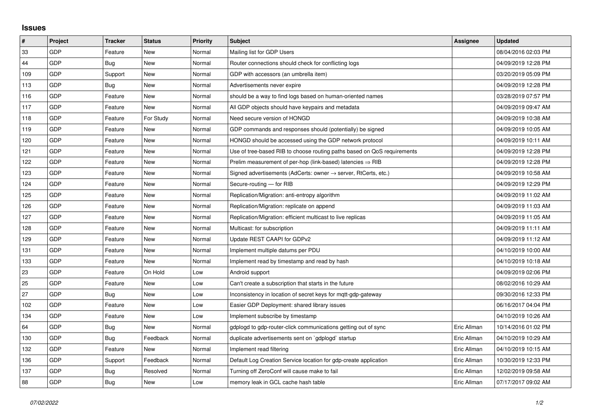## **Issues**

| #   | Project    | <b>Tracker</b> | <b>Status</b> | <b>Priority</b> | <b>Subject</b>                                                             | Assignee    | <b>Updated</b>      |
|-----|------------|----------------|---------------|-----------------|----------------------------------------------------------------------------|-------------|---------------------|
| 33  | GDP        | Feature        | <b>New</b>    | Normal          | Mailing list for GDP Users                                                 |             | 08/04/2016 02:03 PM |
| 44  | GDP        | Bug            | <b>New</b>    | Normal          | Router connections should check for conflicting logs                       |             | 04/09/2019 12:28 PM |
| 109 | GDP        | Support        | <b>New</b>    | Normal          | GDP with accessors (an umbrella item)                                      |             | 03/20/2019 05:09 PM |
| 113 | GDP        | Bug            | <b>New</b>    | Normal          | Advertisements never expire                                                |             | 04/09/2019 12:28 PM |
| 116 | GDP        | Feature        | <b>New</b>    | Normal          | should be a way to find logs based on human-oriented names                 |             | 03/28/2019 07:57 PM |
| 117 | GDP        | Feature        | New           | Normal          | All GDP objects should have keypairs and metadata                          |             | 04/09/2019 09:47 AM |
| 118 | GDP        | Feature        | For Study     | Normal          | Need secure version of HONGD                                               |             | 04/09/2019 10:38 AM |
| 119 | GDP        | Feature        | <b>New</b>    | Normal          | GDP commands and responses should (potentially) be signed                  |             | 04/09/2019 10:05 AM |
| 120 | GDP        | Feature        | New           | Normal          | HONGD should be accessed using the GDP network protocol                    |             | 04/09/2019 10:11 AM |
| 121 | GDP        | Feature        | <b>New</b>    | Normal          | Use of tree-based RIB to choose routing paths based on QoS requirements    |             | 04/09/2019 12:28 PM |
| 122 | GDP        | Feature        | <b>New</b>    | Normal          | Prelim measurement of per-hop (link-based) latencies $\Rightarrow$ RIB     |             | 04/09/2019 12:28 PM |
| 123 | GDP        | Feature        | New           | Normal          | Signed advertisements (AdCerts: owner $\rightarrow$ server, RtCerts, etc.) |             | 04/09/2019 10:58 AM |
| 124 | GDP        | Feature        | New           | Normal          | Secure-routing - for RIB                                                   |             | 04/09/2019 12:29 PM |
| 125 | GDP        | Feature        | <b>New</b>    | Normal          | Replication/Migration: anti-entropy algorithm                              |             | 04/09/2019 11:02 AM |
| 126 | GDP        | Feature        | <b>New</b>    | Normal          | Replication/Migration: replicate on append                                 |             | 04/09/2019 11:03 AM |
| 127 | GDP        | Feature        | <b>New</b>    | Normal          | Replication/Migration: efficient multicast to live replicas                |             | 04/09/2019 11:05 AM |
| 128 | GDP        | Feature        | <b>New</b>    | Normal          | Multicast: for subscription                                                |             | 04/09/2019 11:11 AM |
| 129 | <b>GDP</b> | Feature        | New           | Normal          | Update REST CAAPI for GDPv2                                                |             | 04/09/2019 11:12 AM |
| 131 | GDP        | Feature        | <b>New</b>    | Normal          | Implement multiple datums per PDU                                          |             | 04/10/2019 10:00 AM |
| 133 | GDP        | Feature        | <b>New</b>    | Normal          | Implement read by timestamp and read by hash                               |             | 04/10/2019 10:18 AM |
| 23  | <b>GDP</b> | Feature        | On Hold       | Low             | Android support                                                            |             | 04/09/2019 02:06 PM |
| 25  | GDP        | Feature        | <b>New</b>    | Low             | Can't create a subscription that starts in the future                      |             | 08/02/2016 10:29 AM |
| 27  | GDP        | <b>Bug</b>     | New           | Low             | Inconsistency in location of secret keys for mgtt-gdp-gateway              |             | 09/30/2016 12:33 PM |
| 102 | GDP        | Feature        | <b>New</b>    | Low             | Easier GDP Deployment: shared library issues                               |             | 06/16/2017 04:04 PM |
| 134 | GDP        | Feature        | <b>New</b>    | Low             | Implement subscribe by timestamp                                           |             | 04/10/2019 10:26 AM |
| 64  | GDP        | <b>Bug</b>     | New           | Normal          | gdplogd to gdp-router-click communications getting out of sync             | Eric Allman | 10/14/2016 01:02 PM |
| 130 | GDP        | Bug            | Feedback      | Normal          | duplicate advertisements sent on `gdplogd` startup                         | Eric Allman | 04/10/2019 10:29 AM |
| 132 | GDP        | Feature        | <b>New</b>    | Normal          | Implement read filtering                                                   | Eric Allman | 04/10/2019 10:15 AM |
| 136 | <b>GDP</b> | Support        | Feedback      | Normal          | Default Log Creation Service location for gdp-create application           | Eric Allman | 10/30/2019 12:33 PM |
| 137 | GDP        | <b>Bug</b>     | Resolved      | Normal          | Turning off ZeroConf will cause make to fail                               | Eric Allman | 12/02/2019 09:58 AM |
| 88  | GDP        | Bug            | New           | Low             | memory leak in GCL cache hash table                                        | Eric Allman | 07/17/2017 09:02 AM |